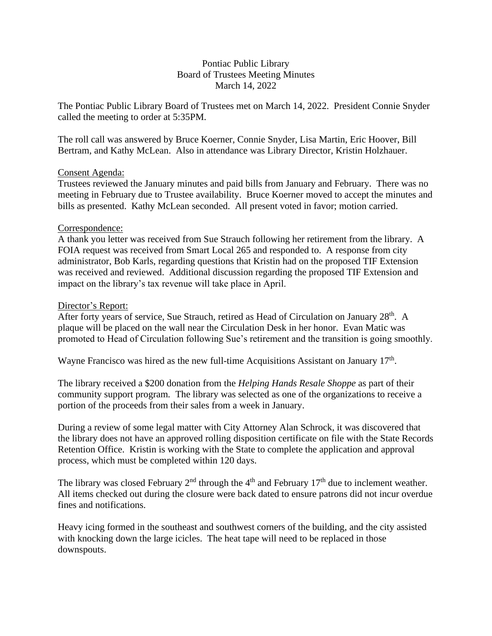## Pontiac Public Library Board of Trustees Meeting Minutes March 14, 2022

The Pontiac Public Library Board of Trustees met on March 14, 2022. President Connie Snyder called the meeting to order at 5:35PM.

The roll call was answered by Bruce Koerner, Connie Snyder, Lisa Martin, Eric Hoover, Bill Bertram, and Kathy McLean. Also in attendance was Library Director, Kristin Holzhauer.

#### Consent Agenda:

Trustees reviewed the January minutes and paid bills from January and February. There was no meeting in February due to Trustee availability. Bruce Koerner moved to accept the minutes and bills as presented. Kathy McLean seconded. All present voted in favor; motion carried.

#### Correspondence:

A thank you letter was received from Sue Strauch following her retirement from the library. A FOIA request was received from Smart Local 265 and responded to. A response from city administrator, Bob Karls, regarding questions that Kristin had on the proposed TIF Extension was received and reviewed. Additional discussion regarding the proposed TIF Extension and impact on the library's tax revenue will take place in April.

#### Director's Report:

After forty years of service, Sue Strauch, retired as Head of Circulation on January 28<sup>th</sup>. A plaque will be placed on the wall near the Circulation Desk in her honor. Evan Matic was promoted to Head of Circulation following Sue's retirement and the transition is going smoothly.

Wayne Francisco was hired as the new full-time Acquisitions Assistant on January 17<sup>th</sup>.

The library received a \$200 donation from the *Helping Hands Resale Shoppe* as part of their community support program*.* The library was selected as one of the organizations to receive a portion of the proceeds from their sales from a week in January.

During a review of some legal matter with City Attorney Alan Schrock, it was discovered that the library does not have an approved rolling disposition certificate on file with the State Records Retention Office. Kristin is working with the State to complete the application and approval process, which must be completed within 120 days.

The library was closed February  $2<sup>nd</sup>$  through the 4<sup>th</sup> and February  $17<sup>th</sup>$  due to inclement weather. All items checked out during the closure were back dated to ensure patrons did not incur overdue fines and notifications.

Heavy icing formed in the southeast and southwest corners of the building, and the city assisted with knocking down the large icicles. The heat tape will need to be replaced in those downspouts.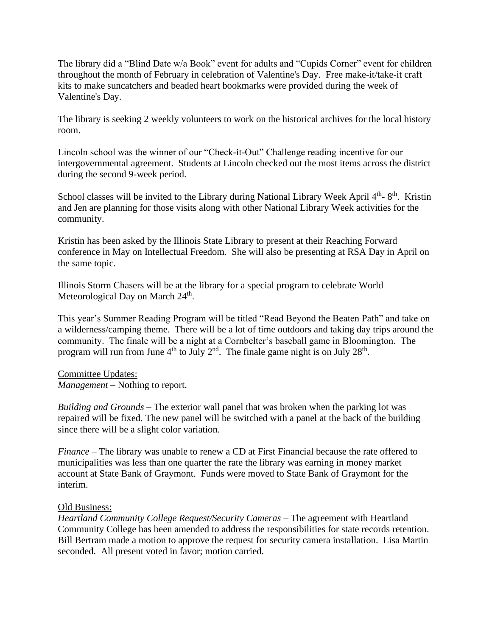The library did a "Blind Date w/a Book" event for adults and "Cupids Corner" event for children throughout the month of February in celebration of Valentine's Day. Free make-it/take-it craft kits to make suncatchers and beaded heart bookmarks were provided during the week of Valentine's Day.

The library is seeking 2 weekly volunteers to work on the historical archives for the local history room.

Lincoln school was the winner of our "Check-it-Out" Challenge reading incentive for our intergovernmental agreement. Students at Lincoln checked out the most items across the district during the second 9-week period.

School classes will be invited to the Library during National Library Week April 4<sup>th</sup>-8<sup>th</sup>. Kristin and Jen are planning for those visits along with other National Library Week activities for the community.

Kristin has been asked by the Illinois State Library to present at their Reaching Forward conference in May on Intellectual Freedom. She will also be presenting at RSA Day in April on the same topic.

Illinois Storm Chasers will be at the library for a special program to celebrate World Meteorological Day on March 24<sup>th</sup>.

This year's Summer Reading Program will be titled "Read Beyond the Beaten Path" and take on a wilderness/camping theme. There will be a lot of time outdoors and taking day trips around the community. The finale will be a night at a Cornbelter's baseball game in Bloomington. The program will run from June  $4<sup>th</sup>$  to July  $2<sup>nd</sup>$ . The finale game night is on July  $28<sup>th</sup>$ .

Committee Updates:

*Management* – Nothing to report.

*Building and Grounds* – The exterior wall panel that was broken when the parking lot was repaired will be fixed. The new panel will be switched with a panel at the back of the building since there will be a slight color variation.

*Finance* – The library was unable to renew a CD at First Financial because the rate offered to municipalities was less than one quarter the rate the library was earning in money market account at State Bank of Graymont. Funds were moved to State Bank of Graymont for the interim.

# Old Business:

*Heartland Community College Request/Security Cameras –* The agreement with Heartland Community College has been amended to address the responsibilities for state records retention. Bill Bertram made a motion to approve the request for security camera installation. Lisa Martin seconded. All present voted in favor; motion carried.